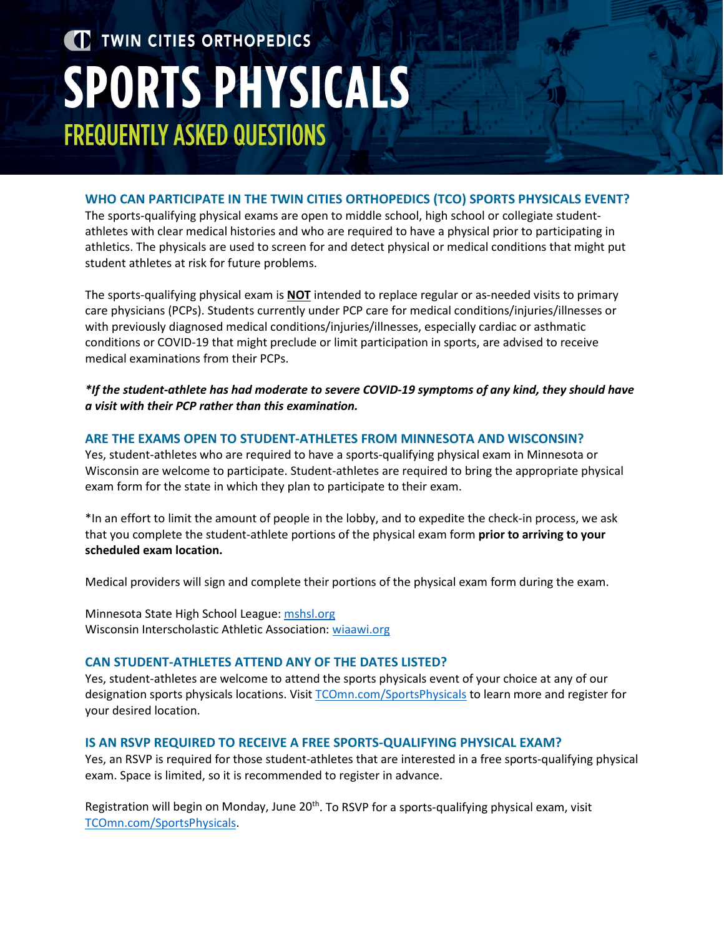# TWIN CITIES ORTHOPEDICS **SPORTS PHYSICALS FREQUENTLY ASKED QUESTIONS**

### **WHO CAN PARTICIPATE IN THE TWIN CITIES ORTHOPEDICS (TCO) SPORTS PHYSICALS EVENT?**

The sports-qualifying physical exams are open to middle school, high school or collegiate studentathletes with clear medical histories and who are required to have a physical prior to participating in athletics. The physicals are used to screen for and detect physical or medical conditions that might put student athletes at risk for future problems.

The sports-qualifying physical exam is **NOT** intended to replace regular or as-needed visits to primary care physicians (PCPs). Students currently under PCP care for medical conditions/injuries/illnesses or with previously diagnosed medical conditions/injuries/illnesses, especially cardiac or asthmatic conditions or COVID-19 that might preclude or limit participation in sports, are advised to receive medical examinations from their PCPs.

*\*If the student-athlete has had moderate to severe COVID-19 symptoms of any kind, they should have a visit with their PCP rather than this examination.* 

## **ARE THE EXAMS OPEN TO STUDENT-ATHLETES FROM MINNESOTA AND WISCONSIN?**

Yes, student-athletes who are required to have a sports-qualifying physical exam in Minnesota or Wisconsin are welcome to participate. Student-athletes are required to bring the appropriate physical exam form for the state in which they plan to participate to their exam.

\*In an effort to limit the amount of people in the lobby, and to expedite the check-in process, we ask that you complete the student-athlete portions of the physical exam form **prior to arriving to your scheduled exam location.** 

Medical providers will sign and complete their portions of the physical exam form during the exam.

Minnesota State High School League: [mshsl.org](https://legacy.mshsl.org/mshsl/) Wisconsin Interscholastic Athletic Association: [wiaawi.org](https://www.wiaawi.org/)

#### **CAN STUDENT-ATHLETES ATTEND ANY OF THE DATES LISTED?**

Yes, student-athletes are welcome to attend the sports physicals event of your choice at any of our designation sports physicals locations. Visi[t TCOmn.com/SportsPhysicals](https://tcomn.com/SportsPhysicals) to learn more and register for your desired location.

#### **IS AN RSVP REQUIRED TO RECEIVE A FREE SPORTS-QUALIFYING PHYSICAL EXAM?**

Yes, an RSVP is required for those student-athletes that are interested in a free sports-qualifying physical exam. Space is limited, so it is recommended to register in advance.

Registration will begin on Monday, June 20<sup>th</sup>. To RSVP for a sports-qualifying physical exam, visit [TCOmn.com/SportsPhysicals.](https://tcomn.com/SportsPhysicals)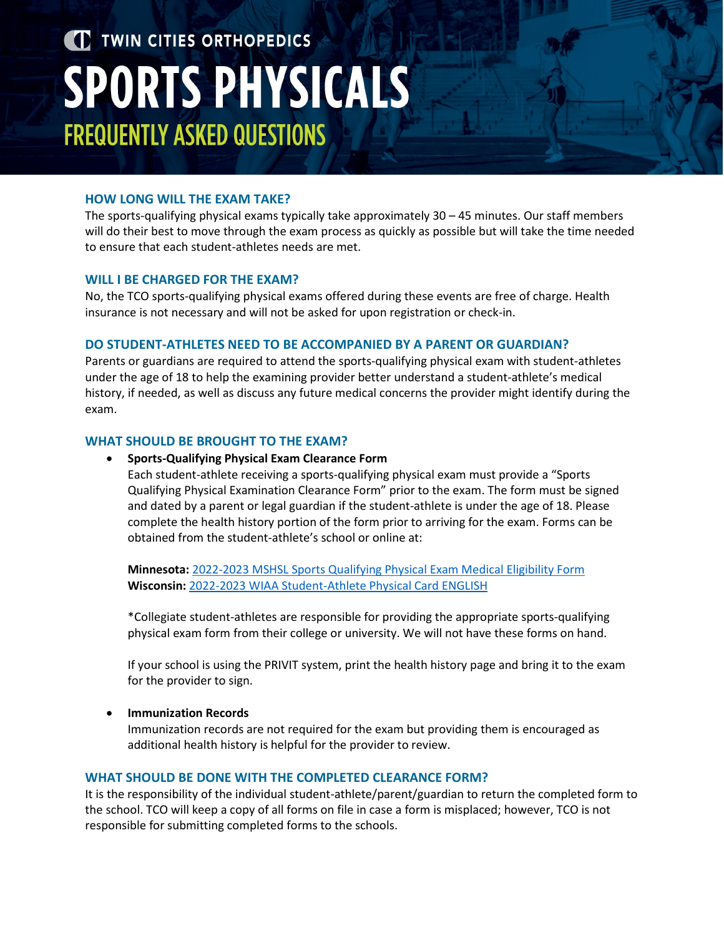# TWIN CITIES ORTHOPEDICS **SPORTS PHYSICALS FREQUENTLY ASKED QUESTIONS**

## **HOW LONG WILL THE EXAM TAKE?**

The sports-qualifying physical exams typically take approximately 30 – 45 minutes. Our staff members will do their best to move through the exam process as quickly as possible but will take the time needed to ensure that each student-athletes needs are met.

## **WILL I BE CHARGED FOR THE EXAM?**

No, the TCO sports-qualifying physical exams offered during these events are free of charge. Health insurance is not necessary and will not be asked for upon registration or check-in.

#### **DO STUDENT-ATHLETES NEED TO BE ACCOMPANIED BY A PARENT OR GUARDIAN?**

Parents or guardians are required to attend the sports-qualifying physical exam with student-athletes under the age of 18 to help the examining provider better understand a student-athlete's medical history, if needed, as well as discuss any future medical concerns the provider might identify during the exam.

#### **WHAT SHOULD BE BROUGHT TO THE EXAM?**

#### • **Sports-Qualifying Physical Exam Clearance Form**

Each student-athlete receiving a sports-qualifying physical exam must provide a "Sports Qualifying Physical Examination Clearance Form" prior to the exam. The form must be signed and dated by a parent or legal guardian if the student-athlete is under the age of 18. Please complete the health history portion of the form prior to arriving for the exam. Forms can be obtained from the student-athlete's school or online at:

**Minnesota:** 2022-2023 MSHSL Sports [Qualifying Physical Exam Medical Eligibility](https://tcomn.com/wp-content/uploads/2022/06/MSHSL_2022-2023_Sports-Qualifying-Physical-Exam-Form.pdf) Form **Wisconsin:** [2022-2023 WIAA Student-Athlete Physical Card ENGLISH](https://tcomn.com/wp-content/uploads/2022/06/WIAA_2022-2023_Pre-Participation-Exam-Form.pdf) 

\*Collegiate student-athletes are responsible for providing the appropriate sports-qualifying physical exam form from their college or university. We will not have these forms on hand.

If your school is using the PRIVIT system, print the health history page and bring it to the exam for the provider to sign.

## • **Immunization Records**

Immunization records are not required for the exam but providing them is encouraged as additional health history is helpful for the provider to review.

#### **WHAT SHOULD BE DONE WITH THE COMPLETED CLEARANCE FORM?**

It is the responsibility of the individual student-athlete/parent/guardian to return the completed form to the school. TCO will keep a copy of all forms on file in case a form is misplaced; however, TCO is not responsible for submitting completed forms to the schools.